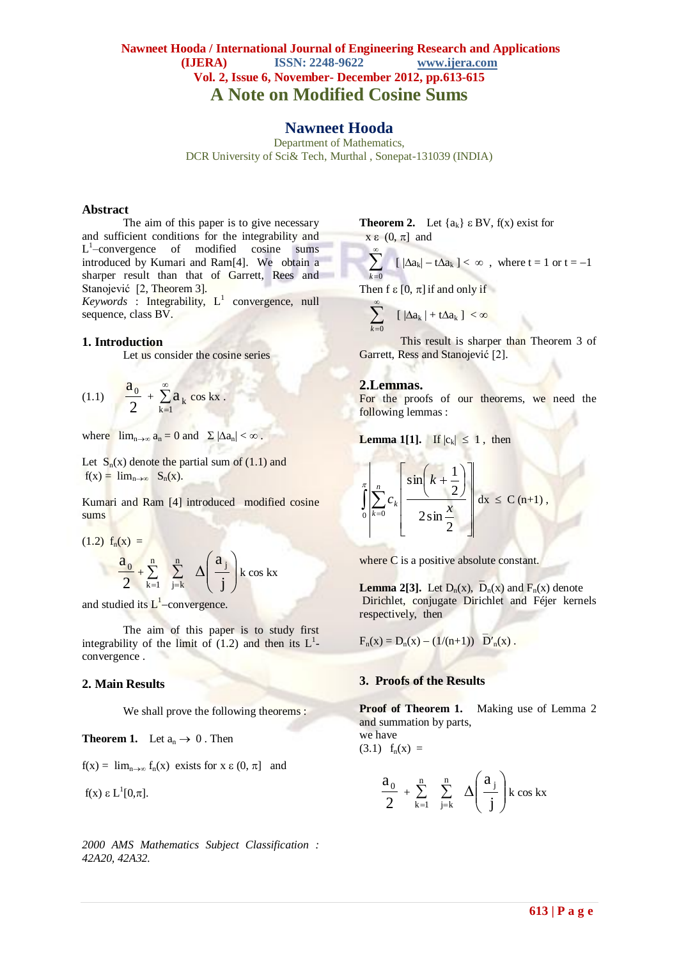## **Nawneet Hooda / International Journal of Engineering Research and Applications (IJERA) ISSN: 2248-9622 www.ijera.com Vol. 2, Issue 6, November- December 2012, pp.613-615 A Note on Modified Cosine Sums**

## **Nawneet Hooda**

Department of Mathematics, DCR University of Sci& Tech, Murthal , Sonepat-131039 (INDIA)

#### **Abstract**

The aim of this paper is to give necessary and sufficient conditions for the integrability and L 1 –convergence of modified cosine sums introduced by Kumari and Ram[4]. We obtain a sharper result than that of Garrett, Rees and Stanojević [2, Theorem 3].

 $Keywords$ : Integrability,  $L^1$  convergence, null sequence, class BV.

#### **1. Introduction**

Let us consider the cosine series

(1.1) 
$$
\frac{a_0}{2} + \sum_{k=1}^{\infty} a_k \cos kx.
$$

where  $\lim_{n\to\infty} a_n = 0$  and  $\Sigma |\Delta a_n| < \infty$ .

Let  $S_n(x)$  denote the partial sum of (1.1) and  $f(x) = lim_{n\to\infty} S_n(x)$ .

Kumari and Ram [4] introduced modified cosine sums

$$
(1.2) f_n(x) =
$$
  

$$
\frac{a_0}{2} + \sum_{k=1}^n \sum_{j=k}^n \Delta\left(\frac{a_j}{j}\right) k \cos kx
$$

and studied its  $L^1$ -convergence.

The aim of this paper is to study first integrability of the limit of  $(1.2)$  and then its  $L<sup>1</sup>$ convergence .

#### **2. Main Results**

We shall prove the following theorems :

**Theorem 1.** Let  $a_n \to 0$ . Then

 $f(x) = \lim_{n \to \infty} f_n(x)$  exists for  $x \in (0, \pi]$  and

f(x) ε L<sup>1</sup>[0,π].

*2000 AMS Mathematics Subject Classification : 42A20, 42A32.*

**Theorem 2.** Let  $\{a_k\}$   $\in$  BV,  $f(x)$  exist for  $x \in (0, \pi]$  and

 $\sum$  $\infty$  $k = 0$  $\left[\frac{\Delta a_k}{-t\Delta a_k}\right] < \infty$ , where  $t = 1$  or  $t = -1$ Then f  $\epsilon$  [0,  $\pi$ ] if and only if

$$
\sum_{k=0}^{\infty} \quad [\; |\Delta a_k| + t \Delta a_k \; ] < \infty
$$

This result is sharper than Theorem 3 of Garrett, Ress and Stanojević [2].

#### **2.Lemmas.**

 $-1 - 1 - 1$ 

For the proofs of our theorems, we need the following lemmas :

**Lemma 1[1].** If  $|c_k| \leq 1$ , then

$$
\int_{0}^{\pi} \left| \sum_{k=0}^{n} c_k \left[ \frac{\sin \left( k + \frac{1}{2} \right)}{2 \sin \frac{x}{2}} \right] \right| dx \leq C (n+1),
$$

where C is a positive absolute constant.

**Lemma 2[3].** Let  $D_n(x)$ ,  $D_n(x)$  and  $F_n(x)$  denote Dirichlet, conjugate Dirichlet and Féjer kernels respectively, then

$$
F_n(x) = D_n(x) - (1/(n+1)) \overline{D'}_n(x).
$$

#### **3. Proofs of the Results**

**Proof of Theorem 1.** Making use of Lemma 2 and summation by parts, we have

$$
(3.1)
$$
  $f_n(x) =$ 

$$
\frac{a_0}{2} + \sum_{k=1}^{n} \sum_{j=k}^{n} \Delta\left(\frac{a_j}{j}\right) k \cos kx
$$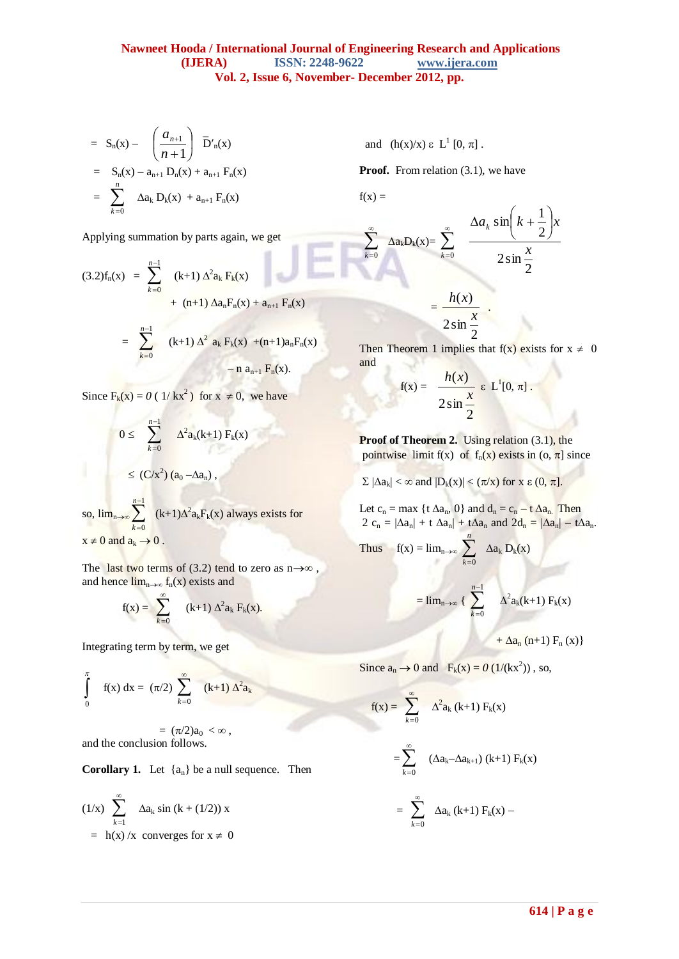$$
= S_n(x) - \left(\frac{a_{n+1}}{n+1}\right) \bar{D'}_n(x)
$$
  

$$
= S_n(x) - a_{n+1} D_n(x) + a_{n+1} F_n(x)
$$
  

$$
= \sum_{k=0}^n \Delta a_k D_k(x) + a_{n+1} F_n(x)
$$

Applying summation by parts again, we get

$$
(3.2) f_n(x) = \sum_{k=0}^{n-1} (k+1) \Delta^2 a_k F_k(x)
$$
  
+ (n+1)  $\Delta a_n F_n(x) + a_{n+1} F_n(x)$   
=  $\sum_{k=0}^{n-1} (k+1) \Delta^2 a_k F_k(x) + (n+1) a_n F_n(x)$   
- n  $a_{n+1} F_n(x)$ .

Since  $F_k(x) = 0$  (  $1/kx^2$  ) for  $x \neq 0$ , we have

$$
0 \leq \sum_{k=0}^{n-1} \Delta^2 a_k(k+1) F_k(x)
$$
  

$$
\leq (C/x^2) (a_0 - \Delta a_n),
$$
  
so, 
$$
\lim_{n \to \infty} \sum_{k=0}^{n-1} (k+1) \Delta^2 a_k F_k(x)
$$
 always exists for

 $x \neq 0$  and  $a_k \rightarrow 0$ .

The last two terms of (3.2) tend to zero as  $n \rightarrow \infty$ , and hence  $\lim_{n\to\infty} f_n(x)$  exists and

$$
f(x) = \sum_{k=0}^{\infty} (k+1) \Delta^2 a_k F_k(x).
$$

Integrating term by term, we get

$$
\int_{0}^{\pi} f(x) dx = (\pi/2) \sum_{k=0}^{\infty} (k+1) \Delta^{2} a_{k}
$$

 $=$   $(\pi/2)a_0 < \infty$ , and the conclusion follows.

**Corollary 1.** Let  $\{a_n\}$  be a null sequence. Then

$$
(1/x) \sum_{k=1}^{\infty} \Delta a_k \sin (k + (1/2)) x
$$
  
= h(x)/x converges for x \ne 0

and  $(h(x)/x) \varepsilon L^1[0, \pi]$ .

**Proof.** From relation (3.1), we have

 $f(x) =$ 

 $\sum$  $\infty$ 

w

 $\Delta a_kD_k$ 

 $k = 0$ 

$$
\sum_{k=0}^{\infty} \Delta a_k D_k(x) = \sum_{k=0}^{\infty} \frac{\Delta a_k \sin\left(k + \frac{1}{2}\right)x}{2 \sin\frac{x}{2}}
$$

$$
= \frac{h(x)}{2 \sin\frac{x}{2}}.
$$

2 Then Theorem 1 implies that  $f(x)$  exists for  $x \neq 0$ and

$$
f(x) = \frac{h(x)}{2\sin{\frac{x}{2}}} \varepsilon L^{1}[0, \pi].
$$

**Proof of Theorem 2.** Using relation (3.1), the pointwise limit f(x) of  $f_n(x)$  exists in  $(o, \pi]$  since

 $\sum |\Delta a_k| < \infty$  and  $|D_k(x)| < (\pi/x)$  for x  $\epsilon (0, \pi]$ .

Let  $c_n = \max \{t \Delta a_n, 0\}$  and  $d_n = c_n - t \Delta a_n$ . Then  $2 c_n = |\Delta a_n| + t \Delta a_n + t \Delta a_n$  and  $2d_n = |\Delta a_n| - t \Delta a_n$ .

Thus 
$$
f(x) = \lim_{n \to \infty} \sum_{k=0}^{n} \Delta a_k D_k(x)
$$

$$
= \lim_{n \to \infty} \left\{ \sum_{k=0}^{n-1} \alpha^2 a_k(k+1) F_k(x) \right\}
$$

+  $\Delta a_n$  (n+1)  $F_n(x)$ }

Since  $a_n \to 0$  and  $F_k(x) = 0$  (1/(kx<sup>2</sup>)), so,

$$
f(x) = \sum_{k=0}^{\infty} \Delta^{2} a_{k} (k+1) F_{k}(x)
$$
  
= 
$$
\sum_{k=0}^{\infty} (\Delta a_{k} - \Delta a_{k+1}) (k+1) F_{k}(x)
$$
  
= 
$$
\sum_{k=0}^{\infty} \Delta a_{k} (k+1) F_{k}(x) -
$$